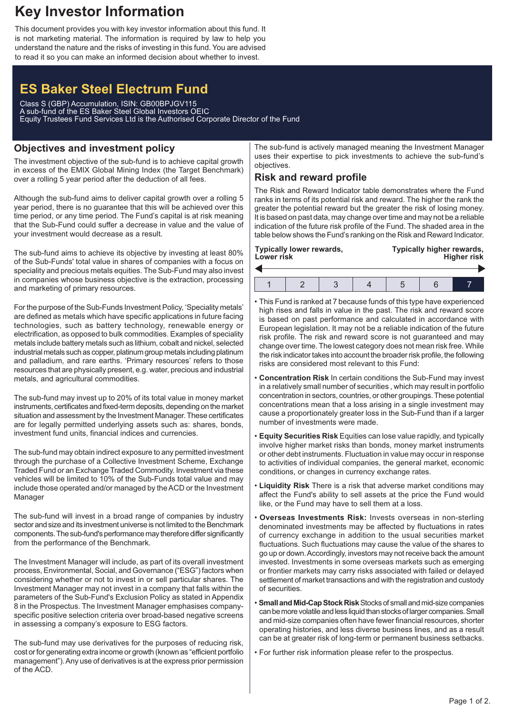## **Key Investor Information**

This document provides you with key investor information about this fund. It is not marketing material. The information is required by law to help you understand the nature and the risks of investing in this fund. You are advised to read it so you can make an informed decision about whether to invest.

# **ES Baker Steel Electrum Fund**

Class S (GBP) Accumulation, ISIN: GB00BPJGV115 A sub-fund of the ES Baker Steel Global Investors OEIC Equity Trustees Fund Services Ltd is the Authorised Corporate Director of the Fund

## **Objectives and investment policy**

The investment objective of the sub-fund is to achieve capital growth in excess of the EMIX Global Mining Index (the Target Benchmark) over a rolling 5 year period after the deduction of all fees.

Although the sub-fund aims to deliver capital growth over a rolling 5 year period, there is no guarantee that this will be achieved over this time period, or any time period. The Fund's capital is at risk meaning that the Sub-Fund could suffer a decrease in value and the value of your investment would decrease as a result.

The sub-fund aims to achieve its objective by investing at least 80% of the Sub-Funds' total value in shares of companies with a focus on speciality and precious metals equities. The Sub-Fund may also invest in companies whose business objective is the extraction, processing and marketing of primary resources.

For the purpose of the Sub-Funds Investment Policy, 'Speciality metals' are defined as metals which have specific applications in future facing technologies, such as battery technology, renewable energy or electrification, as opposed to bulk commodities. Examples of speciality metals include battery metals such as lithium, cobalt and nickel, selected industrial metals such as copper, platinum group metals including platinum and palladium, and rare earths. 'Primary resources' refers to those resources that are physically present, e.g. water, precious and industrial metals, and agricultural commodities.

The sub-fund may invest up to 20% of its total value in money market instruments, certificates and fixed-term deposits, depending on the market situation and assessment by the Investment Manager. These certificates are for legally permitted underlying assets such as: shares, bonds, investment fund units, financial indices and currencies.

The sub-fund may obtain indirect exposure to any permitted investment through the purchase of a Collective Investment Scheme, Exchange Traded Fund or an Exchange Traded Commodity. Investment via these vehicles will be limited to 10% of the Sub-Funds total value and may include those operated and/or managed by the ACD or the Investment Manager

The sub-fund will invest in a broad range of companies by industry sector and size and its investment universe is not limited to the Benchmark components. The sub-fund's performance may therefore differ significantly from the performance of the Benchmark.

The Investment Manager will include, as part of its overall investment process, Environmental, Social, and Governance ("ESG") factors when considering whether or not to invest in or sell particular shares. The Investment Manager may not invest in a company that falls within the parameters of the Sub-Fund's Exclusion Policy as stated in Appendix 8 in the Prospectus. The Investment Manager emphasises companyspecific positive selection criteria over broad-based negative screens in assessing a company's exposure to ESG factors.

The sub-fund may use derivatives for the purposes of reducing risk, cost or for generating extra income or growth (known as "efficient portfolio management").Any use of derivatives is at the express prior permission of the ACD.

The sub-fund is actively managed meaning the Investment Manager uses their expertise to pick investments to achieve the sub-fund's objectives.

## **Risk and reward profile**

The Risk and Reward Indicator table demonstrates where the Fund ranks in terms of its potential risk and reward. The higher the rank the greater the potential reward but the greater the risk of losing money. It is based on past data, may change over time and may not be a reliable indication of the future risk profile of the Fund. The shaded area in the table below shows the Fund's ranking on the Risk and Reward Indicator.

| Typically lower rewards,<br>Lower risk |  |  |  | Typically higher rewards,<br><b>Higher risk</b> |  |  |
|----------------------------------------|--|--|--|-------------------------------------------------|--|--|
|                                        |  |  |  |                                                 |  |  |
|                                        |  |  |  |                                                 |  |  |

- This Fund is ranked at 7 because funds of this type have experienced high rises and falls in value in the past. The risk and reward score is based on past performance and calculated in accordance with European legislation. It may not be a reliable indication of the future risk profile. The risk and reward score is not guaranteed and may change over time. The lowest category does not mean risk free. While the risk indicator takes into account the broader risk profile, the following risks are considered most relevant to this Fund:
- **Concentration Risk** In certain conditions the Sub-Fund may invest in a relatively small number of securities , which may result in portfolio concentration in sectors, countries, or other groupings. These potential concentrations mean that a loss arising in a single investment may cause a proportionately greater loss in the Sub-Fund than if a larger number of investments were made.
- **Equity Securities Risk** Equities can lose value rapidly, and typically involve higher market risks than bonds, money market instruments or other debt instruments. Fluctuation in value may occur in response to activities of individual companies, the general market, economic conditions, or changes in currency exchange rates.
- **Liquidity Risk** There is a risk that adverse market conditions may affect the Fund's ability to sell assets at the price the Fund would like, or the Fund may have to sell them at a loss.
- **Overseas Investments Risk:** Invests overseas in non-sterling denominated investments may be affected by fluctuations in rates of currency exchange in addition to the usual securities market fluctuations. Such fluctuations may cause the value of the shares to go up or down.Accordingly, investors may not receive back the amount invested. Investments in some overseas markets such as emerging or frontier markets may carry risks associated with failed or delayed settlement of market transactions and with the registration and custody of securities.
- **Small and Mid-Cap Stock Risk** Stocks of small and mid-size companies can be more volatile and less liquid than stocks of larger companies. Small and mid-size companies often have fewer financial resources, shorter operating histories, and less diverse business lines, and as a result can be at greater risk of long-term or permanent business setbacks.
- For further risk information please refer to the prospectus.